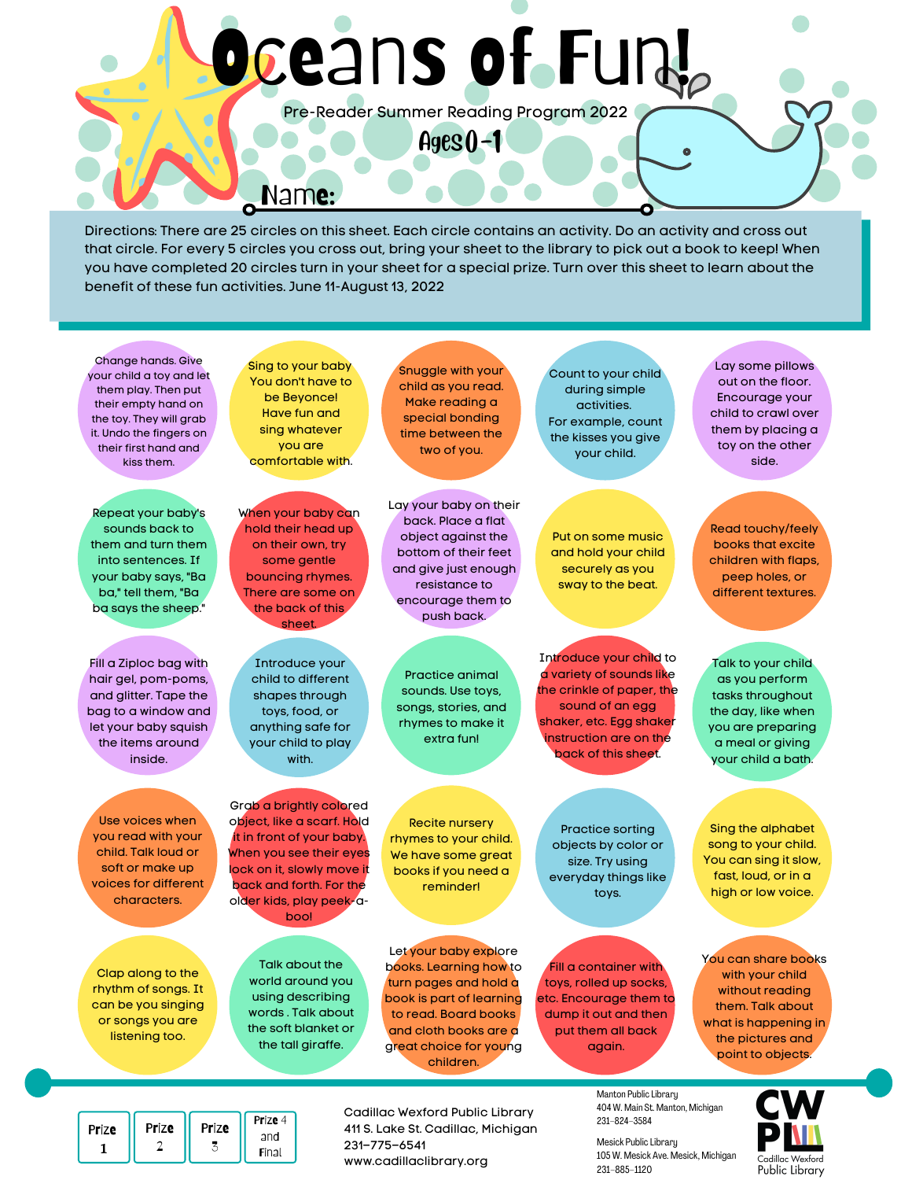# Oceans of Fun!

Pre-Reader Summer Reading Program 2022

 $Ages() - 1$ 

Name:

Directions: There are 25 circles on this sheet. Each circle contains an activity. Do an activity and cross out that circle. For every 5 circles you cross out, bring your sheet to the library to pick out a book to keep! When you have completed 20 circles turn in your sheet for a special prize. Turn over this sheet to learn about the benefit of these fun activities. June 11-August 13, 2022



www.cadillaclibrary.org

Final

1

105 W. Mesick Ave. Mesick, Michigan 231–885–1120

Cadillac Wexford Public Library